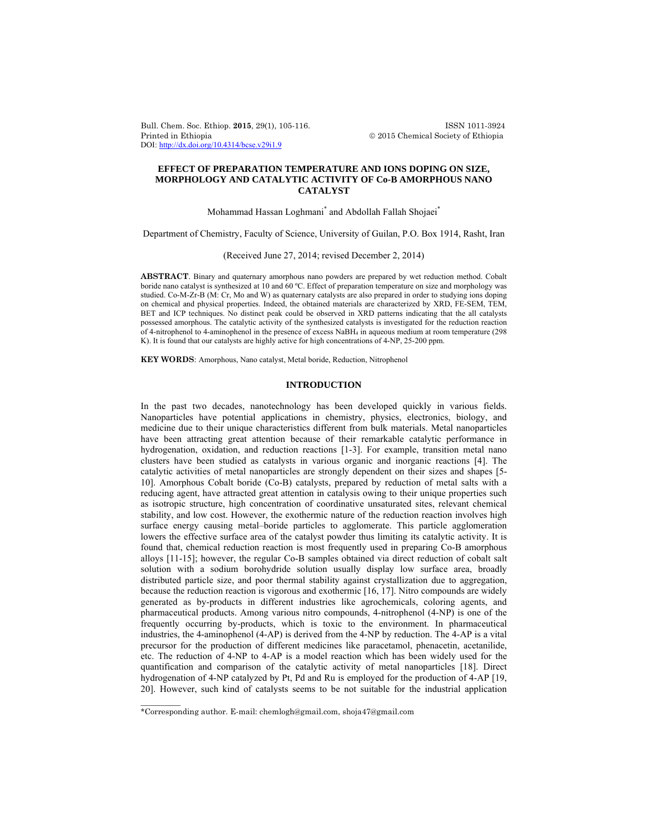Bull. Chem. Soc. Ethiop. **2015**, 29(1), 105-116. ISSN 1011-3924 Printed in Ethiopia 2015 Chemical Society of Ethiopia DOI: http://dx.doi.org/10.4314/bcse.v29i1.9

## **EFFECT OF PREPARATION TEMPERATURE AND IONS DOPING ON SIZE, MORPHOLOGY AND CATALYTIC ACTIVITY OF Co-B AMORPHOUS NANO CATALYST**

# Mohammad Hassan Loghmani\* and Abdollah Fallah Shojaei\*

Department of Chemistry, Faculty of Science, University of Guilan, P.O. Box 1914, Rasht, Iran

### (Received June 27, 2014; revised December 2, 2014)

**ABSTRACT**. Binary and quaternary amorphous nano powders are prepared by wet reduction method. Cobalt boride nano catalyst is synthesized at 10 and 60 ºC. Effect of preparation temperature on size and morphology was studied. Co-M-Zr-B (M: Cr, Mo and W) as quaternary catalysts are also prepared in order to studying ions doping on chemical and physical properties. Indeed, the obtained materials are characterized by XRD, FE-SEM, TEM, BET and ICP techniques. No distinct peak could be observed in XRD patterns indicating that the all catalysts possessed amorphous. The catalytic activity of the synthesized catalysts is investigated for the reduction reaction of 4-nitrophenol to 4-aminophenol in the presence of excess NaBH4 in aqueous medium at room temperature (298 K). It is found that our catalysts are highly active for high concentrations of 4-NP, 25-200 ppm.

**KEY WORDS**: Amorphous, Nano catalyst, Metal boride, Reduction, Nitrophenol

### **INTRODUCTION**

In the past two decades, nanotechnology has been developed quickly in various fields. Nanoparticles have potential applications in chemistry, physics, electronics, biology, and medicine due to their unique characteristics different from bulk materials. Metal nanoparticles have been attracting great attention because of their remarkable catalytic performance in hydrogenation, oxidation, and reduction reactions [1-3]. For example, transition metal nano clusters have been studied as catalysts in various organic and inorganic reactions [4]. The catalytic activities of metal nanoparticles are strongly dependent on their sizes and shapes [5- 10]. Amorphous Cobalt boride (Co-B) catalysts, prepared by reduction of metal salts with a reducing agent, have attracted great attention in catalysis owing to their unique properties such as isotropic structure, high concentration of coordinative unsaturated sites, relevant chemical stability, and low cost. However, the exothermic nature of the reduction reaction involves high surface energy causing metal–boride particles to agglomerate. This particle agglomeration lowers the effective surface area of the catalyst powder thus limiting its catalytic activity. It is found that, chemical reduction reaction is most frequently used in preparing Co-B amorphous alloys [11-15]; however, the regular Co-B samples obtained via direct reduction of cobalt salt solution with a sodium borohydride solution usually display low surface area, broadly distributed particle size, and poor thermal stability against crystallization due to aggregation, because the reduction reaction is vigorous and exothermic [16, 17]. Nitro compounds are widely generated as by-products in different industries like agrochemicals, coloring agents, and pharmaceutical products. Among various nitro compounds, 4-nitrophenol (4-NP) is one of the frequently occurring by-products, which is toxic to the environment. In pharmaceutical industries, the 4-aminophenol (4-AP) is derived from the 4-NP by reduction. The 4-AP is a vital precursor for the production of different medicines like paracetamol, phenacetin, acetanilide, etc. The reduction of 4-NP to 4-AP is a model reaction which has been widely used for the quantification and comparison of the catalytic activity of metal nanoparticles [18]. Direct hydrogenation of 4-NP catalyzed by Pt, Pd and Ru is employed for the production of 4-AP [19, 20]. However, such kind of catalysts seems to be not suitable for the industrial application

 $\overline{\phantom{a}}$ 

<sup>\*</sup>Corresponding author. E-mail: chemlogh@gmail.com, shoja47@gmail.com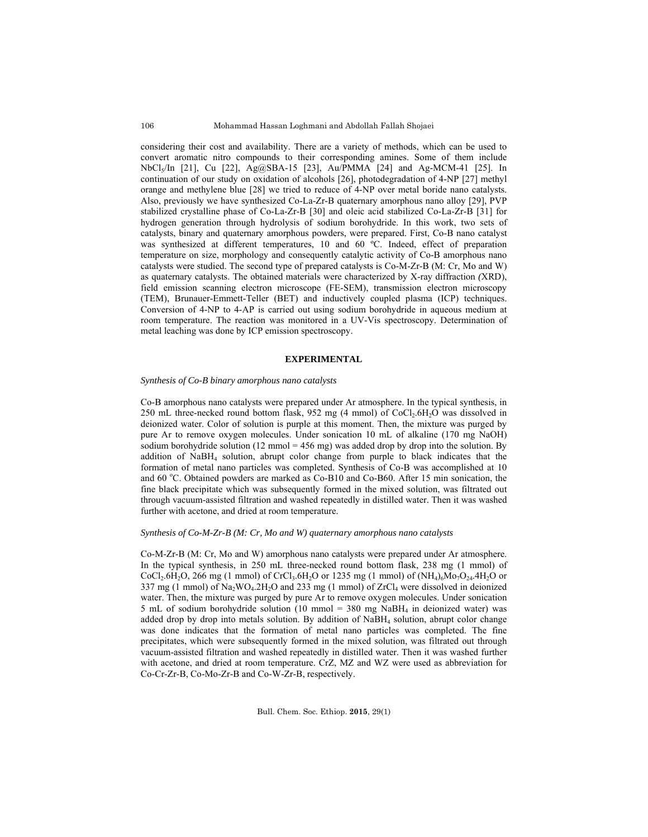considering their cost and availability. There are a variety of methods, which can be used to convert aromatic nitro compounds to their corresponding amines. Some of them include NbCl5/In [21], Cu [22], Ag@SBA-15 [23], Au/PMMA [24] and Ag-MCM-41 [25]. In continuation of our study on oxidation of alcohols [26], photodegradation of 4-NP [27] methyl orange and methylene blue [28] we tried to reduce of 4-NP over metal boride nano catalysts. Also, previously we have synthesized Co-La-Zr-B quaternary amorphous nano alloy [29], PVP stabilized crystalline phase of Co-La-Zr-B [30] and oleic acid stabilized Co-La-Zr-B [31] for hydrogen generation through hydrolysis of sodium borohydride. In this work, two sets of catalysts, binary and quaternary amorphous powders, were prepared. First, Co-B nano catalyst was synthesized at different temperatures, 10 and 60 °C. Indeed, effect of preparation temperature on size, morphology and consequently catalytic activity of Co-B amorphous nano catalysts were studied. The second type of prepared catalysts is Co-M-Zr-B (M: Cr, Mo and W) as quaternary catalysts. The obtained materials were characterized by X-ray diffraction *(*XRD), field emission scanning electron microscope (FE-SEM), transmission electron microscopy (TEM), Brunauer-Emmett-Teller (BET) and inductively coupled plasma (ICP) techniques. Conversion of 4-NP to 4-AP is carried out using sodium borohydride in aqueous medium at room temperature. The reaction was monitored in a UV-Vis spectroscopy. Determination of metal leaching was done by ICP emission spectroscopy.

### **EXPERIMENTAL**

### *Synthesis of Co-B binary amorphous nano catalysts*

Co-B amorphous nano catalysts were prepared under Ar atmosphere. In the typical synthesis, in 250 mL three-necked round bottom flask,  $952 \text{ mg}$  (4 mmol) of CoCl<sub>2</sub>.6H<sub>2</sub>O was dissolved in deionized water. Color of solution is purple at this moment. Then, the mixture was purged by pure Ar to remove oxygen molecules. Under sonication 10 mL of alkaline (170 mg NaOH) sodium borohydride solution (12 mmol = 456 mg) was added drop by drop into the solution. By addition of  $N$ a $BH<sub>4</sub>$  solution, abrupt color change from purple to black indicates that the formation of metal nano particles was completed. Synthesis of Co-B was accomplished at 10 and 60 °C. Obtained powders are marked as Co-B10 and Co-B60. After 15 min sonication, the fine black precipitate which was subsequently formed in the mixed solution, was filtrated out through vacuum-assisted filtration and washed repeatedly in distilled water. Then it was washed further with acetone, and dried at room temperature.

#### *Synthesis of Co-M-Zr-B (M: Cr, Mo and W) quaternary amorphous nano catalysts*

Co-M-Zr-B (M: Cr, Mo and W) amorphous nano catalysts were prepared under Ar atmosphere. In the typical synthesis, in 250 mL three-necked round bottom flask, 238 mg (1 mmol) of  $CoCl_2.6H_2O$ , 266 mg (1 mmol) of  $CrCl_3.6H_2O$  or 1235 mg (1 mmol) of  $(NH_4)_6Mo_7O_{24}.4H_2O$  or 337 mg (1 mmol) of  $Na_2WO_4.2H_2O$  and 233 mg (1 mmol) of  $ZrCl_4$  were dissolved in deionized water. Then, the mixture was purged by pure Ar to remove oxygen molecules. Under sonication 5 mL of sodium borohydride solution (10 mmol = 380 mg NaBH<sub>4</sub> in deionized water) was added drop by drop into metals solution. By addition of NaBH4 solution, abrupt color change was done indicates that the formation of metal nano particles was completed. The fine precipitates, which were subsequently formed in the mixed solution, was filtrated out through vacuum-assisted filtration and washed repeatedly in distilled water. Then it was washed further with acetone, and dried at room temperature. CrZ, MZ and WZ were used as abbreviation for Co-Cr-Zr-B, Co-Mo-Zr-B and Co-W-Zr-B, respectively.

106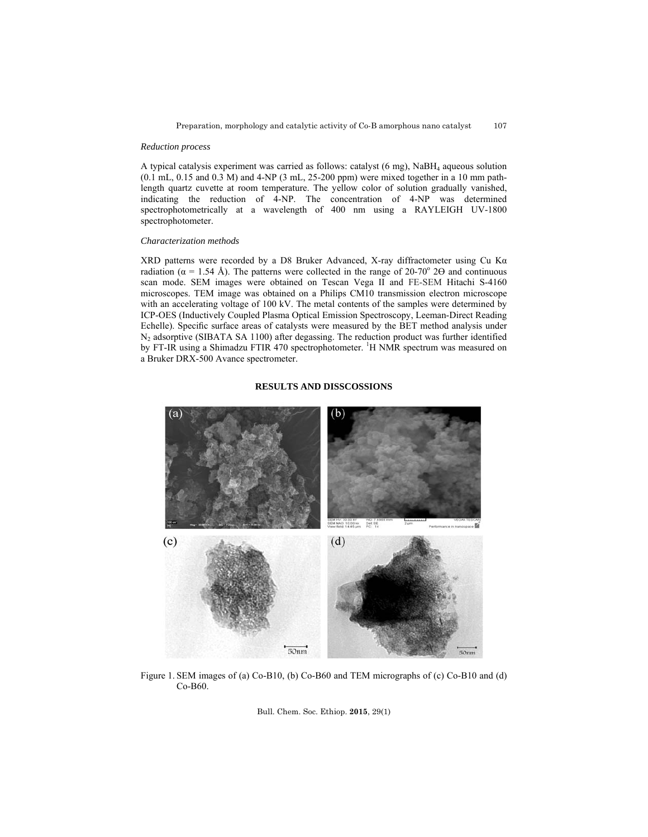#### *Reduction process*

A typical catalysis experiment was carried as follows: catalyst (6 mg), NaBH4 aqueous solution  $(0.1 \text{ mL}, 0.15 \text{ and } 0.3 \text{ M})$  and 4-NP  $(3 \text{ mL}, 25{\text -}200 \text{ ppm})$  were mixed together in a 10 mm pathlength quartz cuvette at room temperature. The yellow color of solution gradually vanished, indicating the reduction of 4-NP. The concentration of 4-NP was determined spectrophotometrically at a wavelength of 400 nm using a RAYLEIGH UV-1800 spectrophotometer.

### *Characterization methods*

XRD patterns were recorded by a D8 Bruker Advanced, X-ray diffractometer using Cu Kα radiation ( $\alpha$  = 1.54 Å). The patterns were collected in the range of 20-70° 2 $\Theta$  and continuous scan mode. SEM images were obtained on Tescan Vega II and FE-SEM Hitachi S-4160 microscopes. TEM image was obtained on a Philips CM10 transmission electron microscope with an accelerating voltage of 100 kV. The metal contents of the samples were determined by ICP-OES (Inductively Coupled Plasma Optical Emission Spectroscopy, Leeman-Direct Reading Echelle). Specific surface areas of catalysts were measured by the BET method analysis under N<sub>2</sub> adsorptive (SIBATA SA 1100) after degassing. The reduction product was further identified by FT-IR using a Shimadzu FTIR 470 spectrophotometer. <sup>1</sup>H NMR spectrum was measured on a Bruker DRX-500 Avance spectrometer.

#### **RESULTS AND DISSCOSSIONS**



Figure 1. SEM images of (a) Co-B10, (b) Co-B60 and TEM micrographs of (c) Co-B10 and (d) Co-B60.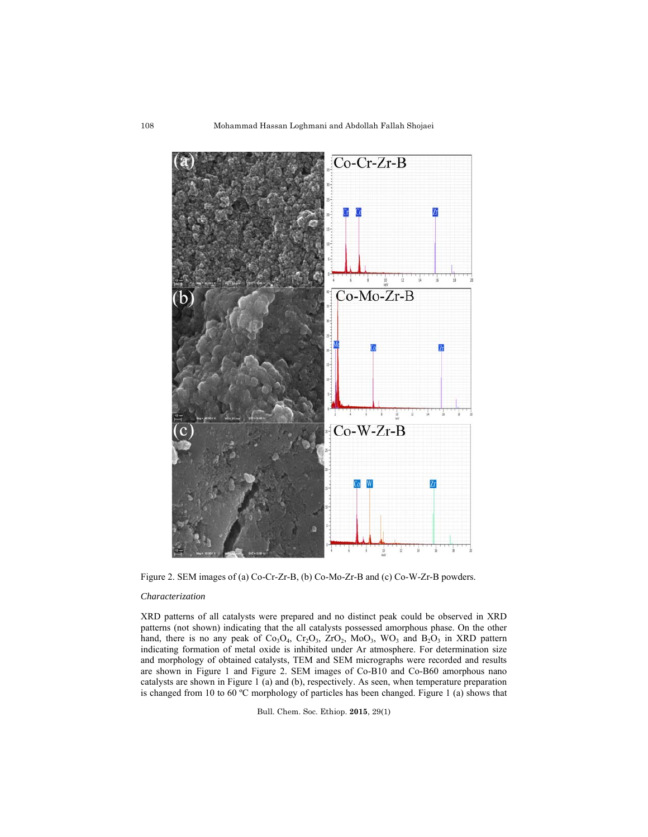

Figure 2. SEM images of (a) Co-Cr-Zr-B, (b) Co-Mo-Zr-B and (c) Co-W-Zr-B powders.

#### *Characterization*

XRD patterns of all catalysts were prepared and no distinct peak could be observed in XRD patterns (not shown) indicating that the all catalysts possessed amorphous phase. On the other hand, there is no any peak of  $Co<sub>3</sub>O<sub>4</sub>$ ,  $Cr<sub>2</sub>O<sub>3</sub>$ ,  $ZrO<sub>2</sub>$ ,  $Mo<sub>3</sub>$ ,  $WO<sub>3</sub>$  and  $B<sub>2</sub>O<sub>3</sub>$  in XRD pattern indicating formation of metal oxide is inhibited under Ar atmosphere. For determination size and morphology of obtained catalysts, TEM and SEM micrographs were recorded and results are shown in Figure 1 and Figure 2. SEM images of Co-B10 and Co-B60 amorphous nano catalysts are shown in Figure 1 (a) and (b), respectively. As seen, when temperature preparation is changed from 10 to 60 ºC morphology of particles has been changed. Figure 1 (a) shows that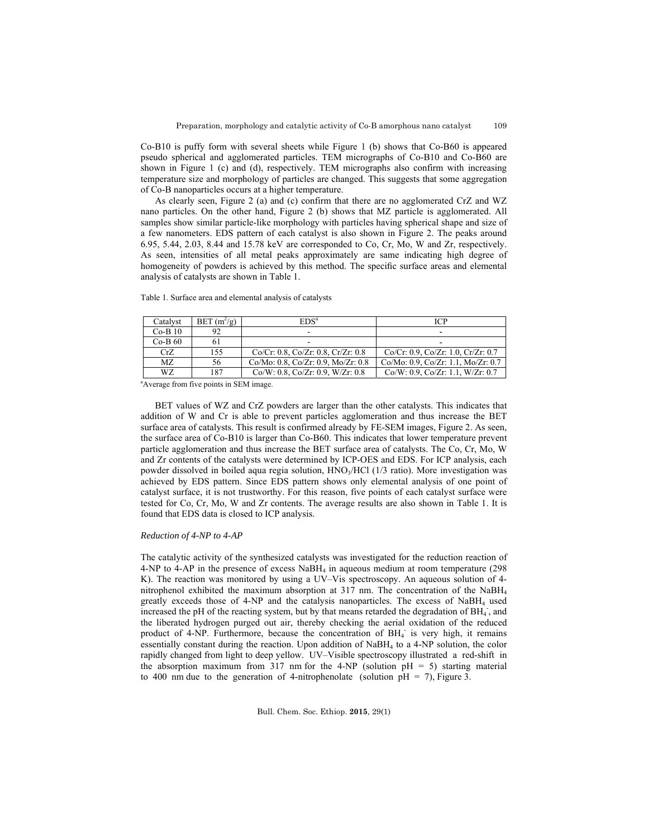109

Co-B10 is puffy form with several sheets while Figure 1 (b) shows that Co-B60 is appeared pseudo spherical and agglomerated particles. TEM micrographs of Co-B10 and Co-B60 are shown in Figure 1 (c) and (d), respectively. TEM micrographs also confirm with increasing temperature size and morphology of particles are changed. This suggests that some aggregation of Co-B nanoparticles occurs at a higher temperature.

As clearly seen, Figure 2 (a) and (c) confirm that there are no agglomerated CrZ and WZ nano particles. On the other hand, Figure 2 (b) shows that MZ particle is agglomerated. All samples show similar particle-like morphology with particles having spherical shape and size of a few nanometers. EDS pattern of each catalyst is also shown in Figure 2. The peaks around 6.95, 5.44, 2.03, 8.44 and 15.78 keV are corresponded to Co, Cr, Mo, W and Zr, respectively. As seen, intensities of all metal peaks approximately are same indicating high degree of homogeneity of powders is achieved by this method. The specific surface areas and elemental analysis of catalysts are shown in Table 1.

Table 1. Surface area and elemental analysis of catalysts

| Catalyst  | $BET(m^2/g)$ | EDS <sup>a</sup>                         | <b>ICP</b>                         |
|-----------|--------------|------------------------------------------|------------------------------------|
| $Co-B10$  | 92           |                                          |                                    |
| $Co-B 60$ |              |                                          |                                    |
| CrZ       | 155          | Co/Cr: 0.8, Co/Zr: 0.8, Cr/Zr: 0.8       | Co/Cr: 0.9, Co/Zr: 1.0, Cr/Zr: 0.7 |
| MZ.       | 56           | Co/Mo: 0.8, Co/Zr: 0.9, Mo/Zr: 0.8       | Co/Mo: 0.9, Co/Zr: 1.1, Mo/Zr: 0.7 |
| WZ        | 187          | $Co/W: 0.8$ , $Co/Zr: 0.9$ , $W/Zr: 0.8$ | Co/W: 0.9, Co/Zr: 1.1, W/Zr: 0.7   |

<sup>a</sup>Average from five points in SEM image.

BET values of WZ and CrZ powders are larger than the other catalysts. This indicates that addition of W and Cr is able to prevent particles agglomeration and thus increase the BET surface area of catalysts. This result is confirmed already by FE-SEM images, Figure 2. As seen, the surface area of Co-B10 is larger than Co-B60. This indicates that lower temperature prevent particle agglomeration and thus increase the BET surface area of catalysts. The Co, Cr, Mo, W and Zr contents of the catalysts were determined by ICP-OES and EDS. For ICP analysis, each powder dissolved in boiled aqua regia solution, HNO<sub>3</sub>/HCl (1/3 ratio). More investigation was achieved by EDS pattern. Since EDS pattern shows only elemental analysis of one point of catalyst surface, it is not trustworthy. For this reason, five points of each catalyst surface were tested for Co, Cr, Mo, W and Zr contents. The average results are also shown in Table 1. It is found that EDS data is closed to ICP analysis.

## *Reduction of 4-NP to 4-AP*

The catalytic activity of the synthesized catalysts was investigated for the reduction reaction of 4-NP to 4-AP in the presence of excess NaBH<sub>4</sub> in aqueous medium at room temperature (298) K). The reaction was monitored by using a UV–Vis spectroscopy. An aqueous solution of 4 nitrophenol exhibited the maximum absorption at 317 nm. The concentration of the NaBH4 greatly exceeds those of 4-NP and the catalysis nanoparticles. The excess of NaBH4 used increased the pH of the reacting system, but by that means retarded the degradation of BH<sub>4</sub>, and the liberated hydrogen purged out air, thereby checking the aerial oxidation of the reduced product of 4-NP. Furthermore, because the concentration of BH<sub>4</sub> is very high, it remains essentially constant during the reaction. Upon addition of  $N$ aB $H_4$  to a 4-NP solution, the color rapidly changed from light to deep yellow. UV–Visible spectroscopy illustrated a red-shift in the absorption maximum from 317 nm for the 4-NP (solution  $pH = 5$ ) starting material to 400 nm due to the generation of 4-nitrophenolate (solution  $pH = 7$ ), Figure 3.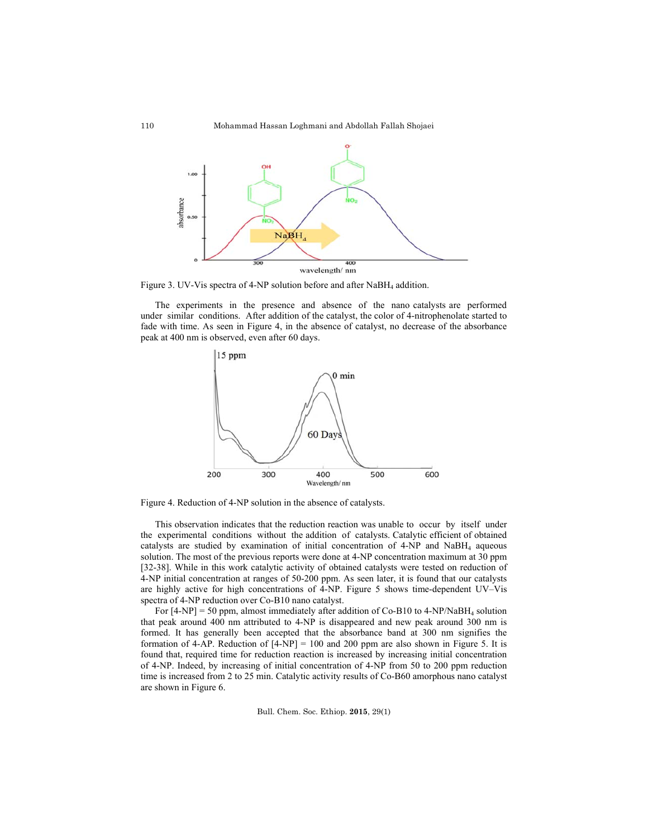

Figure 3. UV-Vis spectra of 4-NP solution before and after NaBH<sub>4</sub> addition.

The experiments in the presence and absence of the nano catalysts are performed under similar conditions. After addition of the catalyst, the color of 4-nitrophenolate started to fade with time. As seen in Figure 4, in the absence of catalyst, no decrease of the absorbance peak at 400 nm is observed, even after 60 days.



Figure 4. Reduction of 4-NP solution in the absence of catalysts.

This observation indicates that the reduction reaction was unable to occur by itself under the experimental conditions without the addition of catalysts. Catalytic efficient of obtained catalysts are studied by examination of initial concentration of  $4-NP$  and  $N$ aBH<sub>4</sub> aqueous solution. The most of the previous reports were done at 4-NP concentration maximum at 30 ppm [32-38]. While in this work catalytic activity of obtained catalysts were tested on reduction of 4-NP initial concentration at ranges of 50-200 ppm. As seen later, it is found that our catalysts are highly active for high concentrations of 4-NP. Figure 5 shows time-dependent UV–Vis spectra of 4-NP reduction over Co-B10 nano catalyst.

For  $[4-NP] = 50$  ppm, almost immediately after addition of Co-B10 to 4-NP/NaBH<sub>4</sub> solution that peak around 400 nm attributed to 4-NP is disappeared and new peak around 300 nm is formed. It has generally been accepted that the absorbance band at 300 nm signifies the formation of 4-AP. Reduction of  $[4-NP] = 100$  and 200 ppm are also shown in Figure 5. It is found that, required time for reduction reaction is increased by increasing initial concentration of 4-NP. Indeed, by increasing of initial concentration of 4-NP from 50 to 200 ppm reduction time is increased from 2 to 25 min. Catalytic activity results of Co-B60 amorphous nano catalyst are shown in Figure 6.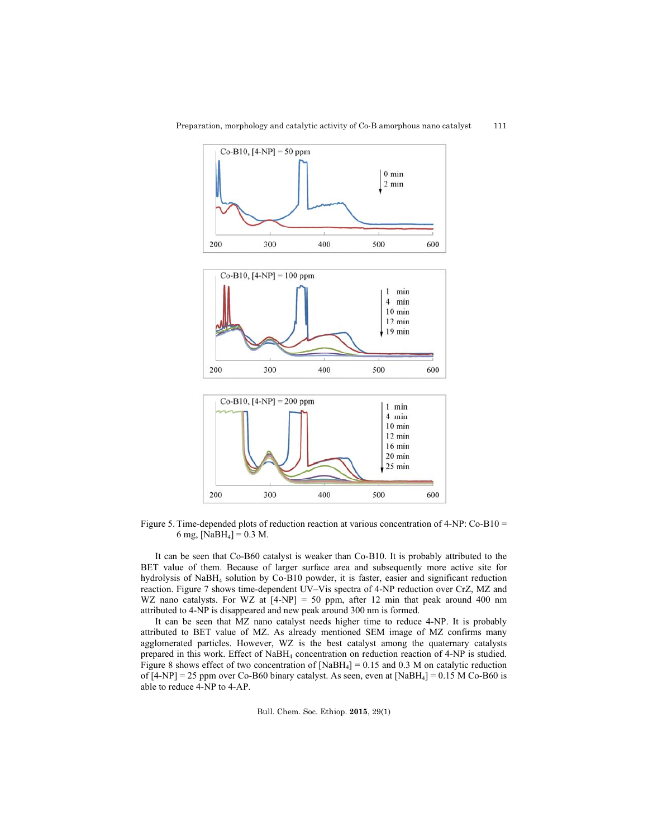

Figure 5. Time-depended plots of reduction reaction at various concentration of 4-NP: Co-B10 = 6 mg,  $[NaBH<sub>4</sub>] = 0.3 M$ .

400

500

600

200

300

It can be seen that Co-B60 catalyst is weaker than Co-B10. It is probably attributed to the BET value of them. Because of larger surface area and subsequently more active site for hydrolysis of NaBH4 solution by Co-B10 powder, it is faster, easier and significant reduction reaction. Figure 7 shows time-dependent UV–Vis spectra of 4-NP reduction over CrZ, MZ and WZ nano catalysts. For WZ at  $[4-NP] = 50$  ppm, after 12 min that peak around 400 nm attributed to 4-NP is disappeared and new peak around 300 nm is formed.

 It can be seen that MZ nano catalyst needs higher time to reduce 4-NP. It is probably attributed to BET value of MZ. As already mentioned SEM image of MZ confirms many agglomerated particles. However, WZ is the best catalyst among the quaternary catalysts prepared in this work. Effect of NaBH<sub>4</sub> concentration on reduction reaction of 4-NP is studied. Figure 8 shows effect of two concentration of  $[NaBH<sub>4</sub>] = 0.15$  and 0.3 M on catalytic reduction of  $[4-NP] = 25$  ppm over Co-B60 binary catalyst. As seen, even at  $[NaBH<sub>4</sub>] = 0.15$  M Co-B60 is able to reduce 4-NP to 4-AP.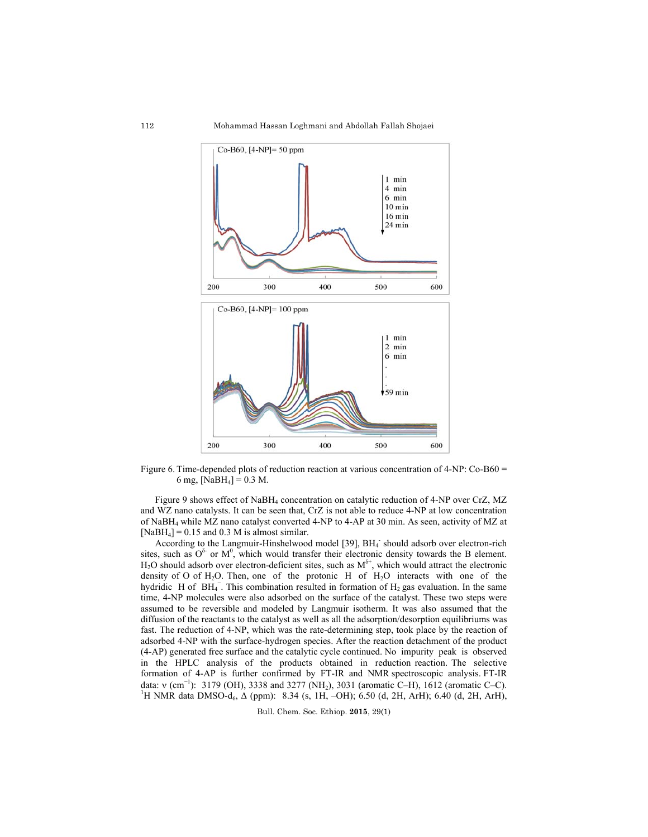Mohammad Hassan Loghmani and Abdollah Fallah Shojaei



Figure 6. Time-depended plots of reduction reaction at various concentration of 4-NP: Co-B60 = 6 mg,  $[NaBH_4] = 0.3$  M.

Figure 9 shows effect of NaBH4 concentration on catalytic reduction of 4-NP over CrZ, MZ and WZ nano catalysts. It can be seen that, CrZ is not able to reduce 4-NP at low concentration of NaBH4 while MZ nano catalyst converted 4-NP to 4-AP at 30 min. As seen, activity of MZ at  $[NaBH<sub>4</sub>] = 0.15$  and 0.3 M is almost similar.

According to the Langmuir-Hinshelwood model [39], BH<sub>4</sub> should adsorb over electron-rich sites, such as  $O^{\delta}$  or  $M^0$ , which would transfer their electronic density towards the B element.  $H_2O$  should adsorb over electron-deficient sites, such as  $M^{\delta^+}$ , which would attract the electronic density of O of  $H_2O$ . Then, one of the protonic H of  $H_2O$  interacts with one of the hydridic H of  $BH_4^-$ . This combination resulted in formation of  $H_2$  gas evaluation. In the same time, 4-NP molecules were also adsorbed on the surface of the catalyst. These two steps were assumed to be reversible and modeled by Langmuir isotherm. It was also assumed that the diffusion of the reactants to the catalyst as well as all the adsorption/desorption equilibriums was fast. The reduction of 4-NP, which was the rate-determining step, took place by the reaction of adsorbed 4-NP with the surface-hydrogen species. After the reaction detachment of the product (4-AP) generated free surface and the catalytic cycle continued. No impurity peak is observed in the HPLC analysis of the products obtained in reduction reaction. The selective formation of 4-AP is further confirmed by FT-IR and NMR spectroscopic analysis. FT-IR data:  $v$  (cm<sup>-1</sup>): 3179 (OH), 3338 and 3277 (NH<sub>2</sub>), 3031 (aromatic C–H), 1612 (aromatic C–C). <sup>1</sup>H NMR data DMSO-d<sub>6</sub>,  $\Delta$  (ppm): 8.34 (s, 1H, -OH); 6.50 (d, 2H, ArH); 6.40 (d, 2H, ArH),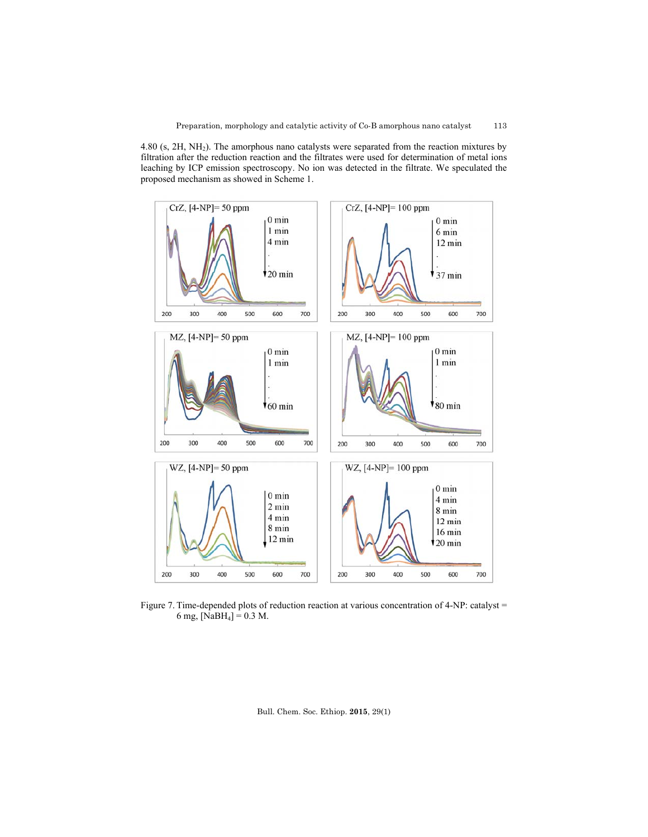4.80 (s, 2H, NH2). The amorphous nano catalysts were separated from the reaction mixtures by filtration after the reduction reaction and the filtrates were used for determination of metal ions leaching by ICP emission spectroscopy. No ion was detected in the filtrate. We speculated the proposed mechanism as showed in Scheme 1.



Figure 7. Time-depended plots of reduction reaction at various concentration of 4-NP: catalyst = 6 mg,  $[NaBH<sub>4</sub>] = 0.3$  M.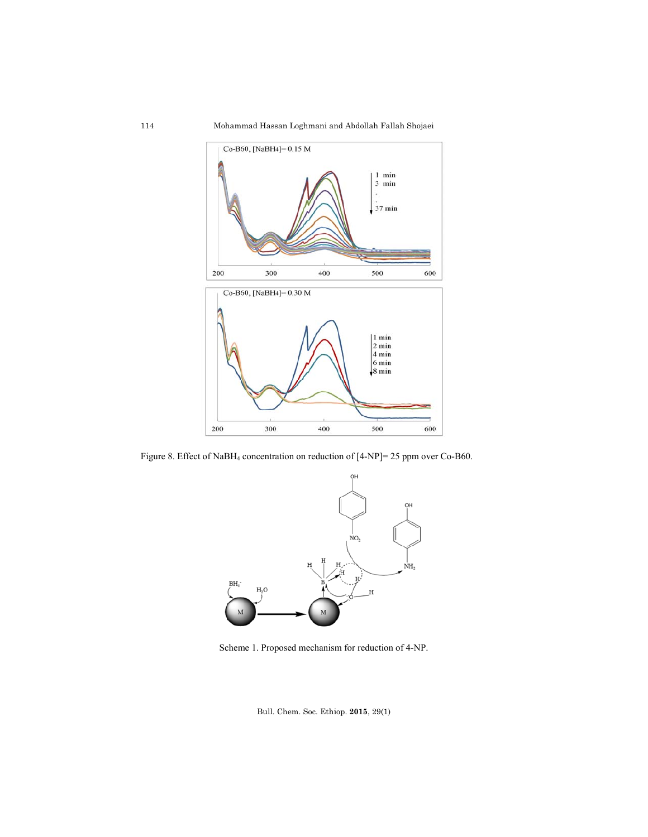Mohammad Hassan Loghmani and Abdollah Fallah Shojaei



Figure 8. Effect of NaBH4 concentration on reduction of [4-NP]= 25 ppm over Co-B60.



Scheme 1. Proposed mechanism for reduction of 4-NP.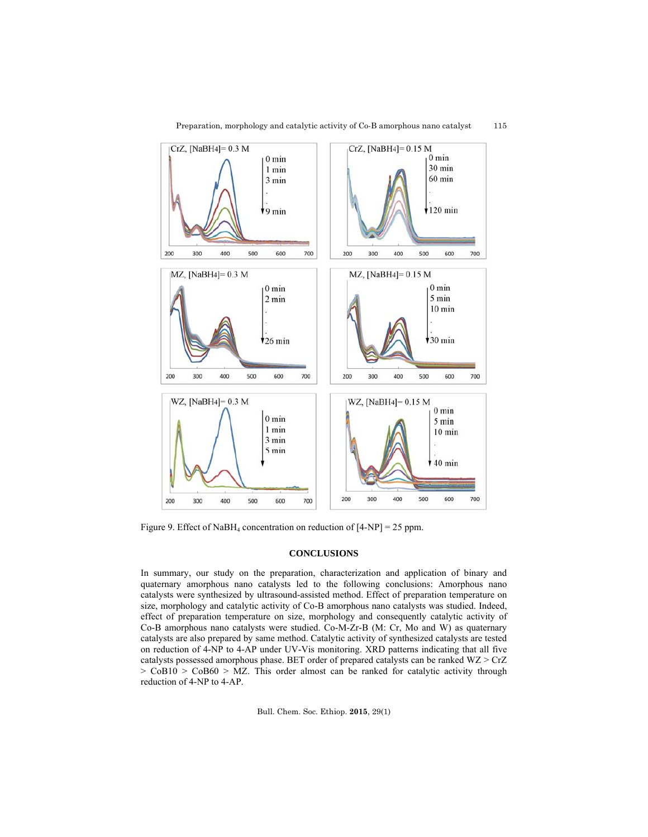

Preparation, morphology and catalytic activity of Co-B amorphous nano catalyst 115

Figure 9. Effect of NaBH<sub>4</sub> concentration on reduction of  $[4-NP] = 25$  ppm.

# **CONCLUSIONS**

In summary, our study on the preparation, characterization and application of binary and quaternary amorphous nano catalysts led to the following conclusions: Amorphous nano catalysts were synthesized by ultrasound-assisted method. Effect of preparation temperature on size, morphology and catalytic activity of Co-B amorphous nano catalysts was studied. Indeed, effect of preparation temperature on size, morphology and consequently catalytic activity of Co-B amorphous nano catalysts were studied. Co-M-Zr-B (M: Cr, Mo and W) as quaternary catalysts are also prepared by same method. Catalytic activity of synthesized catalysts are tested on reduction of 4-NP to 4-AP under UV-Vis monitoring. XRD patterns indicating that all five catalysts possessed amorphous phase. BET order of prepared catalysts can be ranked WZ > CrZ  $>$  CoB10  $>$  CoB60  $>$  MZ. This order almost can be ranked for catalytic activity through reduction of 4-NP to 4-AP.